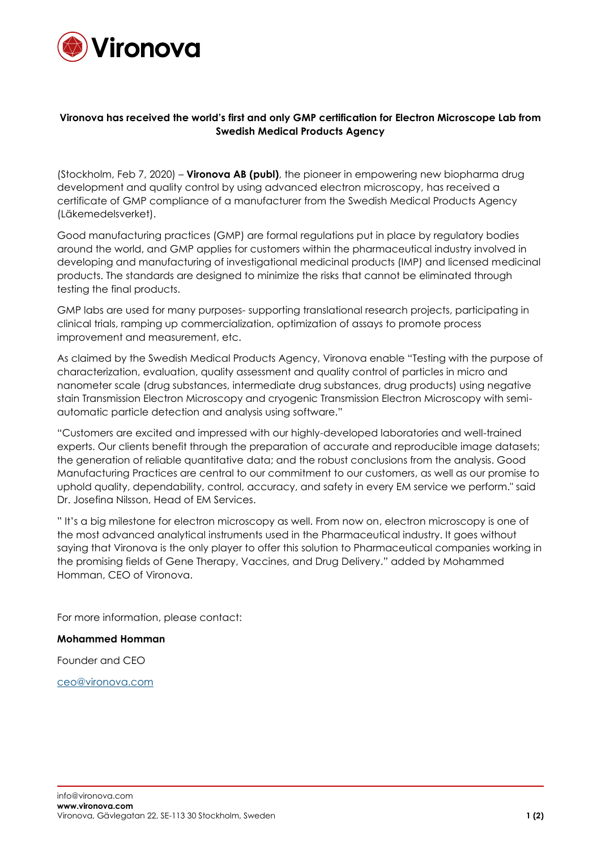

## **Vironova has received the world's first and only GMP certification for Electron Microscope Lab from Swedish Medical Products Agency**

(Stockholm, Feb 7, 2020) – **Vironova AB (publ)**, the pioneer in empowering new biopharma drug development and quality control by using advanced electron microscopy, has received a certificate of GMP compliance of a manufacturer from the Swedish Medical Products Agency (Läkemedelsverket).

Good manufacturing practices (GMP) are formal regulations put in place by regulatory bodies around the world, and GMP applies for customers within the pharmaceutical industry involved in developing and manufacturing of investigational medicinal products (IMP) and licensed medicinal products. The standards are designed to minimize the risks that cannot be eliminated through testing the final products.

GMP labs are used for many purposes- supporting translational research projects, participating in clinical trials, ramping up commercialization, optimization of assays to promote process improvement and measurement, etc.

As claimed by the Swedish Medical Products Agency, Vironova enable "Testing with the purpose of characterization, evaluation, quality assessment and quality control of particles in micro and nanometer scale (drug substances, intermediate drug substances, drug products) using negative stain Transmission Electron Microscopy and cryogenic Transmission Electron Microscopy with semiautomatic particle detection and analysis using software."

"Customers are excited and impressed with our highly-developed laboratories and well-trained experts. Our clients benefit through the preparation of accurate and reproducible image datasets; the generation of reliable quantitative data; and the robust conclusions from the analysis. Good Manufacturing Practices are central to our commitment to our customers, as well as our promise to uphold quality, dependability, control, accuracy, and safety in every EM service we perform." said Dr. Josefina Nilsson, Head of EM Services.

" It's a big milestone for electron microscopy as well. From now on, electron microscopy is one of the most advanced analytical instruments used in the Pharmaceutical industry. It goes without saying that Vironova is the only player to offer this solution to Pharmaceutical companies working in the promising fields of Gene Therapy, Vaccines, and Drug Delivery." added by Mohammed Homman, CEO of Vironova.

For more information, please contact:

## **Mohammed Homman**

Founder and CEO

[ceo@vironova.com](mailto:ceo@vironova.com)